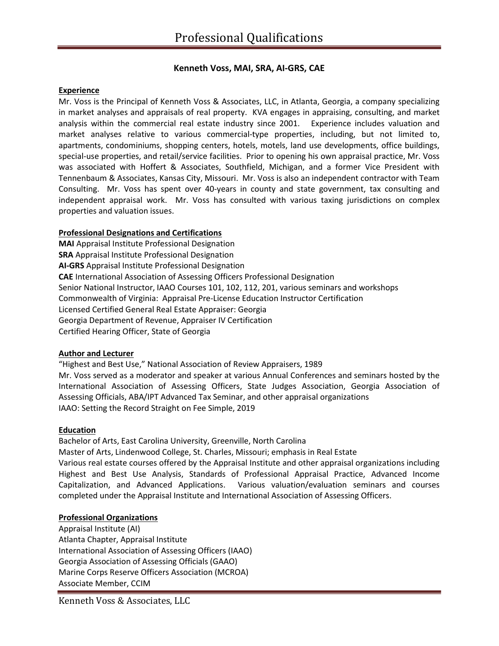# Kenneth Voss, MAI, SRA, AI-GRS, CAE

#### Experience

Mr. Voss is the Principal of Kenneth Voss & Associates, LLC, in Atlanta, Georgia, a company specializing in market analyses and appraisals of real property. KVA engages in appraising, consulting, and market analysis within the commercial real estate industry since 2001. Experience includes valuation and market analyses relative to various commercial-type properties, including, but not limited to, apartments, condominiums, shopping centers, hotels, motels, land use developments, office buildings, special-use properties, and retail/service facilities. Prior to opening his own appraisal practice, Mr. Voss was associated with Hoffert & Associates, Southfield, Michigan, and a former Vice President with Tennenbaum & Associates, Kansas City, Missouri. Mr. Voss is also an independent contractor with Team Consulting. Mr. Voss has spent over 40-years in county and state government, tax consulting and independent appraisal work. Mr. Voss has consulted with various taxing jurisdictions on complex properties and valuation issues.

## Professional Designations and Certifications

MAI Appraisal Institute Professional Designation SRA Appraisal Institute Professional Designation AI-GRS Appraisal Institute Professional Designation CAE International Association of Assessing Officers Professional Designation Senior National Instructor, IAAO Courses 101, 102, 112, 201, various seminars and workshops Commonwealth of Virginia: Appraisal Pre-License Education Instructor Certification Licensed Certified General Real Estate Appraiser: Georgia Georgia Department of Revenue, Appraiser IV Certification Certified Hearing Officer, State of Georgia

#### Author and Lecturer

"Highest and Best Use," National Association of Review Appraisers, 1989 Mr. Voss served as a moderator and speaker at various Annual Conferences and seminars hosted by the International Association of Assessing Officers, State Judges Association, Georgia Association of Assessing Officials, ABA/IPT Advanced Tax Seminar, and other appraisal organizations IAAO: Setting the Record Straight on Fee Simple, 2019

#### Education

Bachelor of Arts, East Carolina University, Greenville, North Carolina Master of Arts, Lindenwood College, St. Charles, Missouri; emphasis in Real Estate Various real estate courses offered by the Appraisal Institute and other appraisal organizations including Highest and Best Use Analysis, Standards of Professional Appraisal Practice, Advanced Income Capitalization, and Advanced Applications. Various valuation/evaluation seminars and courses completed under the Appraisal Institute and International Association of Assessing Officers.

#### Professional Organizations

Appraisal Institute (AI) Atlanta Chapter, Appraisal Institute International Association of Assessing Officers (IAAO) Georgia Association of Assessing Officials (GAAO) Marine Corps Reserve Officers Association (MCROA) Associate Member, CCIM

Kenneth Voss & Associates, LLC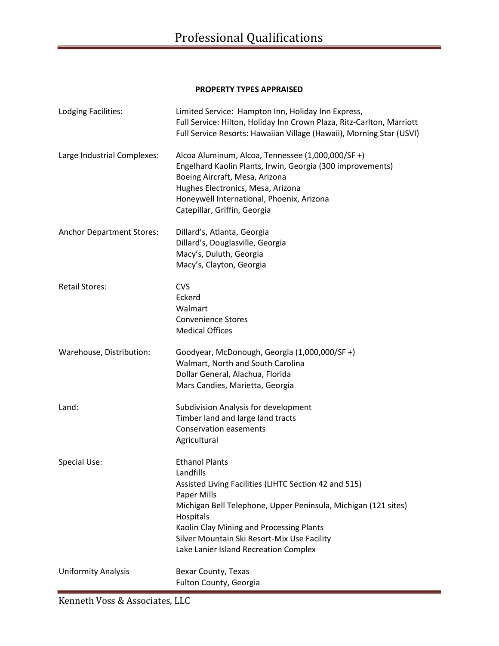## PROPERTY TYPES APPRAISED

| Lodging Facilities:              | Limited Service: Hampton Inn, Holiday Inn Express,<br>Full Service: Hilton, Holiday Inn Crown Plaza, Ritz-Carlton, Marriott<br>Full Service Resorts: Hawaiian Village (Hawaii), Morning Star (USVI)                                                                                                                                  |
|----------------------------------|--------------------------------------------------------------------------------------------------------------------------------------------------------------------------------------------------------------------------------------------------------------------------------------------------------------------------------------|
| Large Industrial Complexes:      | Alcoa Aluminum, Alcoa, Tennessee (1,000,000/SF +)<br>Engelhard Kaolin Plants, Irwin, Georgia (300 improvements)<br>Boeing Aircraft, Mesa, Arizona<br>Hughes Electronics, Mesa, Arizona<br>Honeywell International, Phoenix, Arizona<br>Catepillar, Griffin, Georgia                                                                  |
| <b>Anchor Department Stores:</b> | Dillard's, Atlanta, Georgia<br>Dillard's, Douglasville, Georgia<br>Macy's, Duluth, Georgia<br>Macy's, Clayton, Georgia                                                                                                                                                                                                               |
| <b>Retail Stores:</b>            | <b>CVS</b><br>Eckerd<br>Walmart<br><b>Convenience Stores</b><br><b>Medical Offices</b>                                                                                                                                                                                                                                               |
| Warehouse, Distribution:         | Goodyear, McDonough, Georgia (1,000,000/SF +)<br>Walmart, North and South Carolina<br>Dollar General, Alachua, Florida<br>Mars Candies, Marietta, Georgia                                                                                                                                                                            |
| Land:                            | Subdivision Analysis for development<br>Timber land and large land tracts<br><b>Conservation easements</b><br>Agricultural                                                                                                                                                                                                           |
| Special Use:                     | <b>Ethanol Plants</b><br>Landfills<br>Assisted Living Facilities (LIHTC Section 42 and 515)<br><b>Paper Mills</b><br>Michigan Bell Telephone, Upper Peninsula, Michigan (121 sites)<br>Hospitals<br>Kaolin Clay Mining and Processing Plants<br>Silver Mountain Ski Resort-Mix Use Facility<br>Lake Lanier Island Recreation Complex |
| <b>Uniformity Analysis</b>       | Bexar County, Texas<br>Fulton County, Georgia                                                                                                                                                                                                                                                                                        |